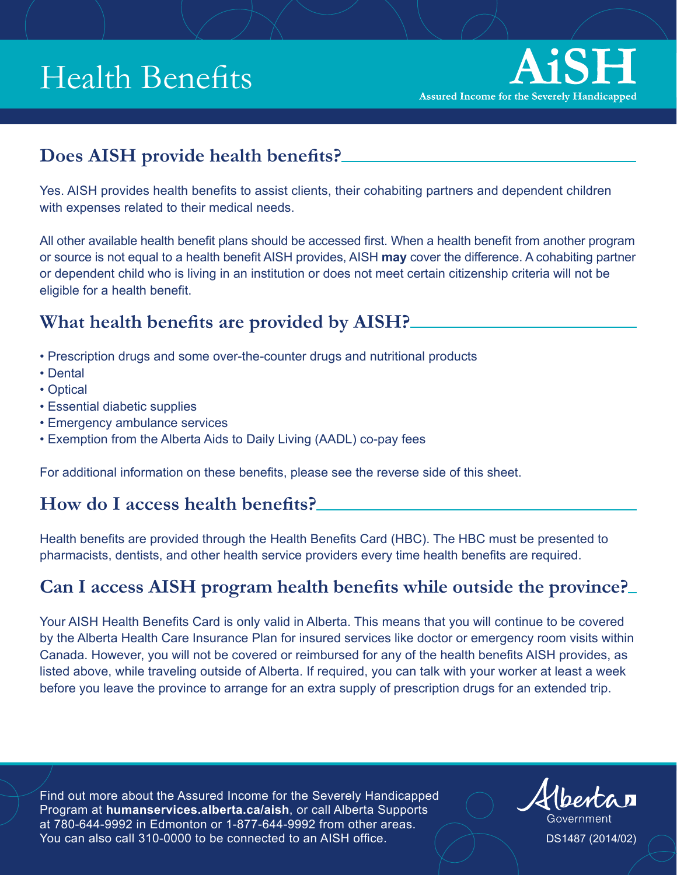# Health Benefits

**Assured Income for the Severely Handicapped** 

# **Does AISH provide health benefits?**

Yes. AISH provides health benefits to assist clients, their cohabiting partners and dependent children with expenses related to their medical needs.

All other available health benefit plans should be accessed first. When a health benefit from another program or source is not equal to a health benefit AISH provides, AISH **may** cover the difference. A cohabiting partner or dependent child who is living in an institution or does not meet certain citizenship criteria will not be eligible for a health benefit.

## **What health benefits are provided by AISH?**

- Prescription drugs and some over-the-counter drugs and nutritional products
- Dental
- Optical
- Essential diabetic supplies
- Emergency ambulance services
- Exemption from the Alberta Aids to Daily Living (AADL) co-pay fees

For additional information on these benefits, please see the reverse side of this sheet.

## **How do I access health benefits?**

Health benefits are provided through the Health Benefits Card (HBC). The HBC must be presented to pharmacists, dentists, and other health service providers every time health benefits are required.

# **Can I access AISH program health benefits while outside the province?**

Your AISH Health Benefits Card is only valid in Alberta. This means that you will continue to be covered by the Alberta Health Care Insurance Plan for insured services like doctor or emergency room visits within Canada. However, you will not be covered or reimbursed for any of the health benefits AISH provides, as listed above, while traveling outside of Alberta. If required, you can talk with your worker at least a week before you leave the province to arrange for an extra supply of prescription drugs for an extended trip.

Find out more about the Assured Income for the Severely Handicapped Program at **humanservices.alberta.ca/aish**, or call Alberta Supports at 780-644-9992 in Edmonton or 1-877-644-9992 from other areas. You can also call 310-0000 to be connected to an AISH office.  $\overline{\phantom{a}}$   $\overline{\phantom{a}}$  DS1487 (2014/02)